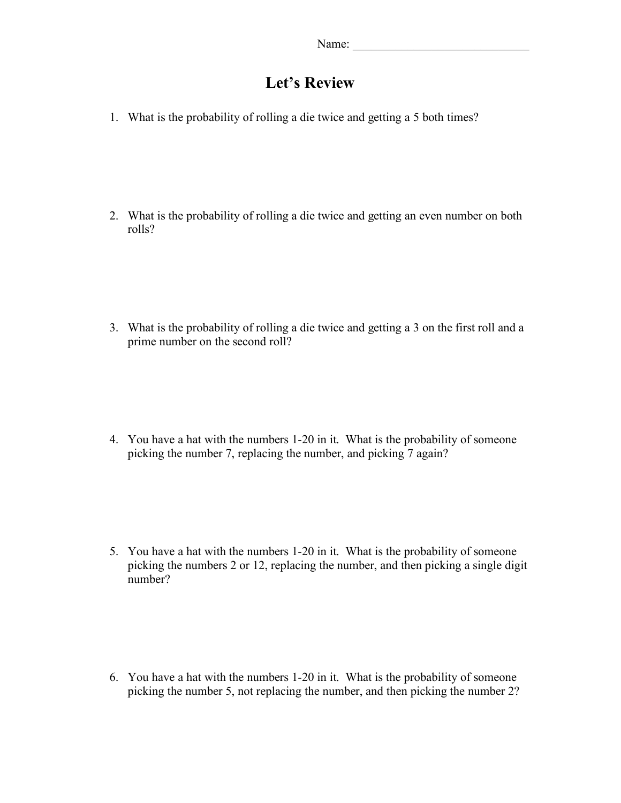## **Let's Review**

1. What is the probability of rolling a die twice and getting a 5 both times?

2. What is the probability of rolling a die twice and getting an even number on both rolls?

3. What is the probability of rolling a die twice and getting a 3 on the first roll and a prime number on the second roll?

4. You have a hat with the numbers 1-20 in it. What is the probability of someone picking the number 7, replacing the number, and picking 7 again?

5. You have a hat with the numbers 1-20 in it. What is the probability of someone picking the numbers 2 or 12, replacing the number, and then picking a single digit number?

6. You have a hat with the numbers 1-20 in it. What is the probability of someone picking the number 5, not replacing the number, and then picking the number 2?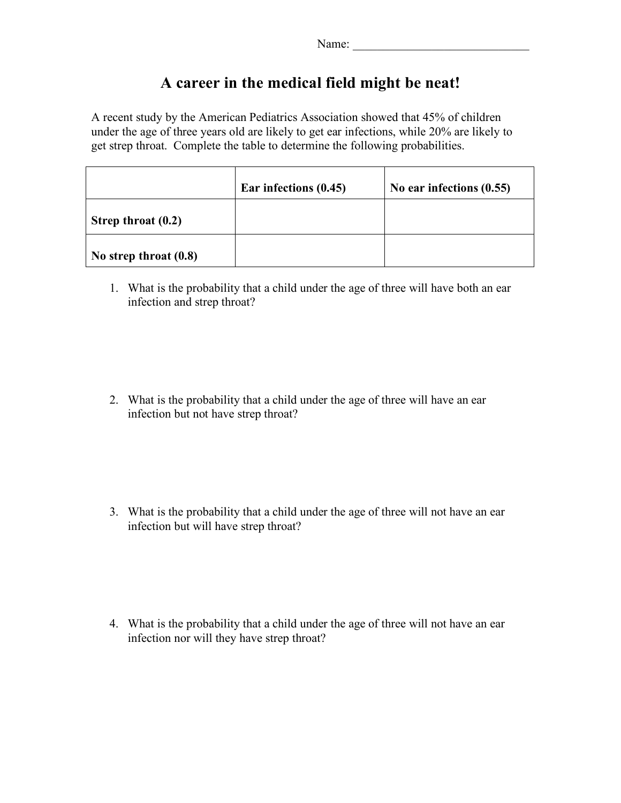| Name: |
|-------|
|-------|

## **A career in the medical field might be neat!**

A recent study by the American Pediatrics Association showed that 45% of children under the age of three years old are likely to get ear infections, while 20% are likely to get strep throat. Complete the table to determine the following probabilities.

|                         | Ear infections (0.45) | No ear infections $(0.55)$ |
|-------------------------|-----------------------|----------------------------|
| Strep throat (0.2)      |                       |                            |
| No strep throat $(0.8)$ |                       |                            |

1. What is the probability that a child under the age of three will have both an ear infection and strep throat?

2. What is the probability that a child under the age of three will have an ear infection but not have strep throat?

3. What is the probability that a child under the age of three will not have an ear infection but will have strep throat?

4. What is the probability that a child under the age of three will not have an ear infection nor will they have strep throat?